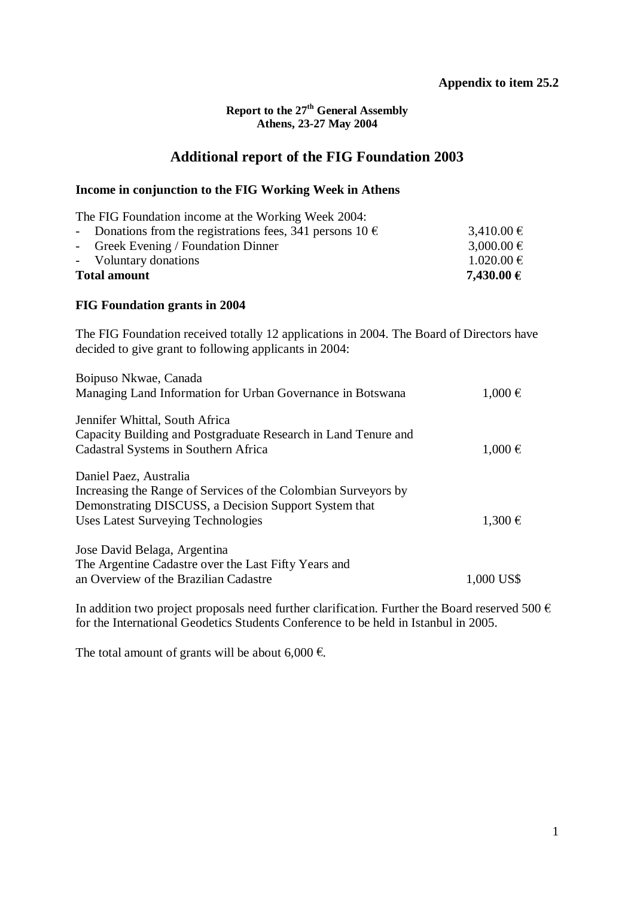#### **Report to the 27th General Assembly Athens, 23-27 May 2004**

# **Additional report of the FIG Foundation 2003**

## **Income in conjunction to the FIG Working Week in Athens**

| <b>Total amount</b> |                                                               | 7,430.00 €     |
|---------------------|---------------------------------------------------------------|----------------|
|                     | - Voluntary donations                                         | $1.020.00 \in$ |
|                     | - Greek Evening / Foundation Dinner                           | 3,000.00 €     |
|                     | - Donations from the registrations fees, 341 persons $10 \in$ | 3,410.00 €     |
|                     | The FIG Foundation income at the Working Week 2004:           |                |

## **FIG Foundation grants in 2004**

The FIG Foundation received totally 12 applications in 2004. The Board of Directors have decided to give grant to following applicants in 2004:

| Boipuso Nkwae, Canada                                                                                                                    |             |
|------------------------------------------------------------------------------------------------------------------------------------------|-------------|
| Managing Land Information for Urban Governance in Botswana                                                                               | $1,000 \in$ |
| Jennifer Whittal, South Africa<br>Capacity Building and Postgraduate Research in Land Tenure and<br>Cadastral Systems in Southern Africa | $1,000 \in$ |
| Daniel Paez, Australia                                                                                                                   |             |
| Increasing the Range of Services of the Colombian Surveyors by<br>Demonstrating DISCUSS, a Decision Support System that                  |             |
| Uses Latest Surveying Technologies                                                                                                       | $1,300 \in$ |
| Jose David Belaga, Argentina                                                                                                             |             |
| The Argentine Cadastre over the Last Fifty Years and<br>an Overview of the Brazilian Cadastre                                            | 1,000 US\$  |

In addition two project proposals need further clarification. Further the Board reserved 500  $\epsilon$ for the International Geodetics Students Conference to be held in Istanbul in 2005.

The total amount of grants will be about 6,000  $\epsilon$ .